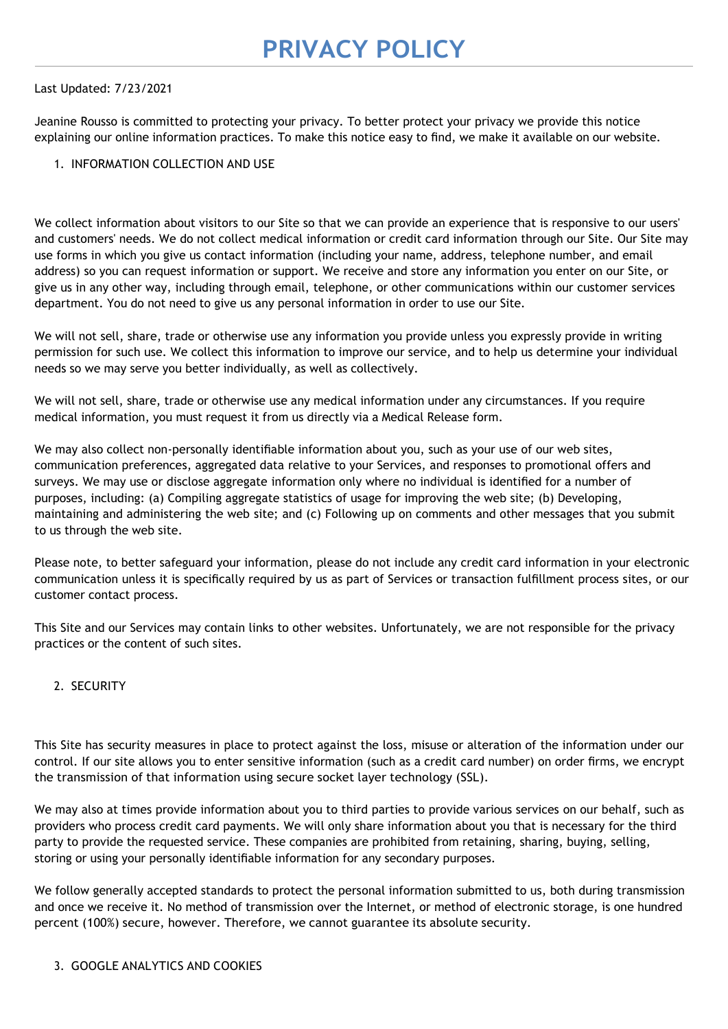### Last Updated: 7/23/2021

Jeanine Rousso is committed to protecting your privacy. To better protect your privacy we provide this notice explaining our online information practices. To make this notice easy to find, we make it available on our website.

### 1. INFORMATION COLLECTION AND USE

We collect information about visitors to our Site so that we can provide an experience that is responsive to our users' and customers' needs. We do not collect medical information or credit card information through our Site. Our Site may use forms in which you give us contact information (including your name, address, telephone number, and email address) so you can request information or support. We receive and store any information you enter on our Site, or give us in any other way, including through email, telephone, or other communications within our customer services department. You do not need to give us any personal information in order to use our Site.

We will not sell, share, trade or otherwise use any information you provide unless you expressly provide in writing permission for such use. We collect this information to improve our service, and to help us determine your individual needs so we may serve you better individually, as well as collectively.

We will not sell, share, trade or otherwise use any medical information under any circumstances. If you require medical information, you must request it from us directly via a Medical Release form.

We may also collect non-personally identifiable information about you, such as your use of our web sites, communication preferences, aggregated data relative to your Services, and responses to promotional offers and surveys. We may use or disclose aggregate information only where no individual is identified for a number of purposes, including: (a) Compiling aggregate statistics of usage for improving the web site; (b) Developing, maintaining and administering the web site; and (c) Following up on comments and other messages that you submit to us through the web site.

Please note, to better safeguard your information, please do not include any credit card information in your electronic communication unless it is specifically required by us as part of Services or transaction fulfillment process sites, or our customer contact process.

This Site and our Services may contain links to other websites. Unfortunately, we are not responsible for the privacy practices or the content of such sites.

## 2. SECURITY

This Site has security measures in place to protect against the loss, misuse or alteration of the information under our control. If our site allows you to enter sensitive information (such as a credit card number) on order firms, we encrypt the transmission of that information using secure socket layer technology (SSL).

We may also at times provide information about you to third parties to provide various services on our behalf, such as providers who process credit card payments. We will only share information about you that is necessary for the third party to provide the requested service. These companies are prohibited from retaining, sharing, buying, selling, storing or using your personally identifiable information for any secondary purposes.

We follow generally accepted standards to protect the personal information submitted to us, both during transmission and once we receive it. No method of transmission over the Internet, or method of electronic storage, is one hundred percent (100%) secure, however. Therefore, we cannot guarantee its absolute security.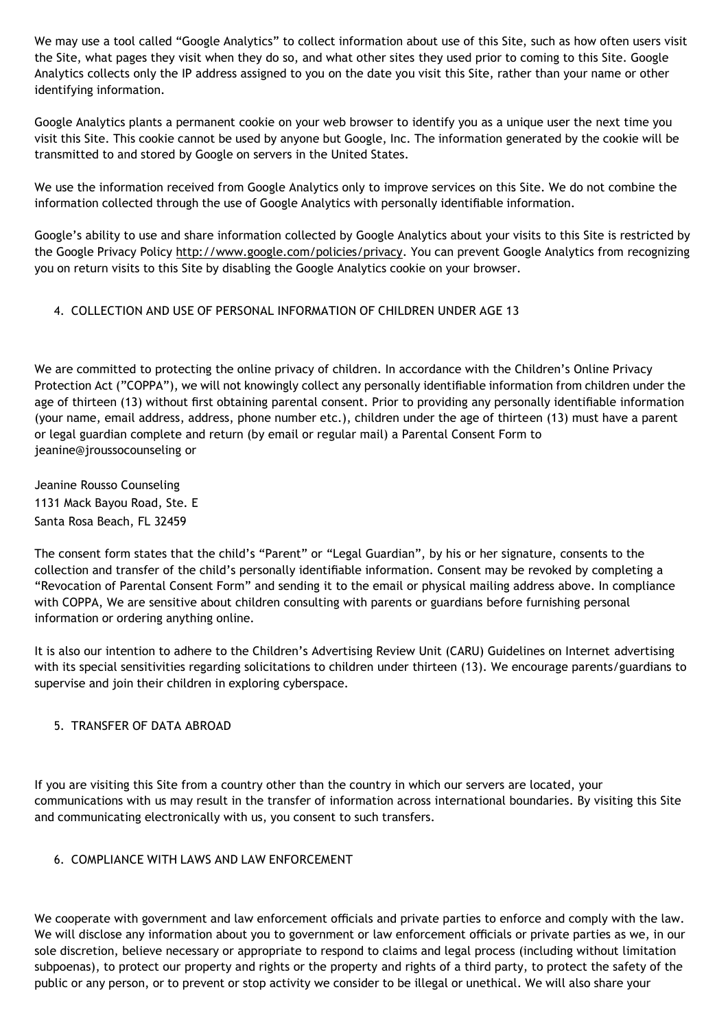We may use a tool called "Google Analytics" to collect information about use of this Site, such as how often users visit the Site, what pages they visit when they do so, and what other sites they used prior to coming to this Site. Google Analytics collects only the IP address assigned to you on the date you visit this Site, rather than your name or other identifying information.

Google Analytics plants a permanent cookie on your web browser to identify you as a unique user the next time you visit this Site. This cookie cannot be used by anyone but Google, Inc. The information generated by the cookie will be transmitted to and stored by Google on servers in the United States.

We use the information received from Google Analytics only to improve services on this Site. We do not combine the information collected through the use of Google Analytics with personally identifiable information.

Google's ability to use and share information collected by Google Analytics about your visits to this Site is restricted by the Google Privacy Policy [http://www.google.com/policies/privacy.](http://www.google.com/policies/privacy) You can prevent Google Analytics from recognizing you on return visits to this Site by disabling the Google Analytics cookie on your browser.

## 4. COLLECTION AND USE OF PERSONAL INFORMATION OF CHILDREN UNDER AGE 13

We are committed to protecting the online privacy of children. In accordance with the Children's Online Privacy Protection Act ("COPPA"), we will not knowingly collect any personally identifiable information from children under the age of thirteen (13) without first obtaining parental consent. Prior to providing any personally identifiable information (your name, email address, address, phone number etc.), children under the age of thirteen (13) must have a parent or legal guardian complete and return (by email or regular mail) a Parental Consent Form to [jeanine@jroussocounseling](mailto:christine_rushford@yahoo.com) or

Jeanine Rousso Counseling 1131 Mack Bayou Road, Ste. E Santa Rosa Beach, FL 32459

The consent form states that the child's "Parent" or "Legal Guardian", by his or her signature, consents to the collection and transfer of the child's personally identifiable information. Consent may be revoked by completing a "Revocation of Parental Consent Form" and sending it to the email or physical mailing address above. In compliance with COPPA, We are sensitive about children consulting with parents or guardians before furnishing personal information or ordering anything online.

It is also our intention to adhere to the Children's Advertising Review Unit (CARU) Guidelines on Internet advertising with its special sensitivities regarding solicitations to children under thirteen (13). We encourage parents/guardians to supervise and join their children in exploring cyberspace.

## 5. TRANSFER OF DATA ABROAD

If you are visiting this Site from a country other than the country in which our servers are located, your communications with us may result in the transfer of information across international boundaries. By visiting this Site and communicating electronically with us, you consent to such transfers.

## 6. COMPLIANCE WITH LAWS AND LAW ENFORCEMENT

We cooperate with government and law enforcement officials and private parties to enforce and comply with the law. We will disclose any information about you to government or law enforcement officials or private parties as we, in our sole discretion, believe necessary or appropriate to respond to claims and legal process (including without limitation subpoenas), to protect our property and rights or the property and rights of a third party, to protect the safety of the public or any person, or to prevent or stop activity we consider to be illegal or unethical. We will also share your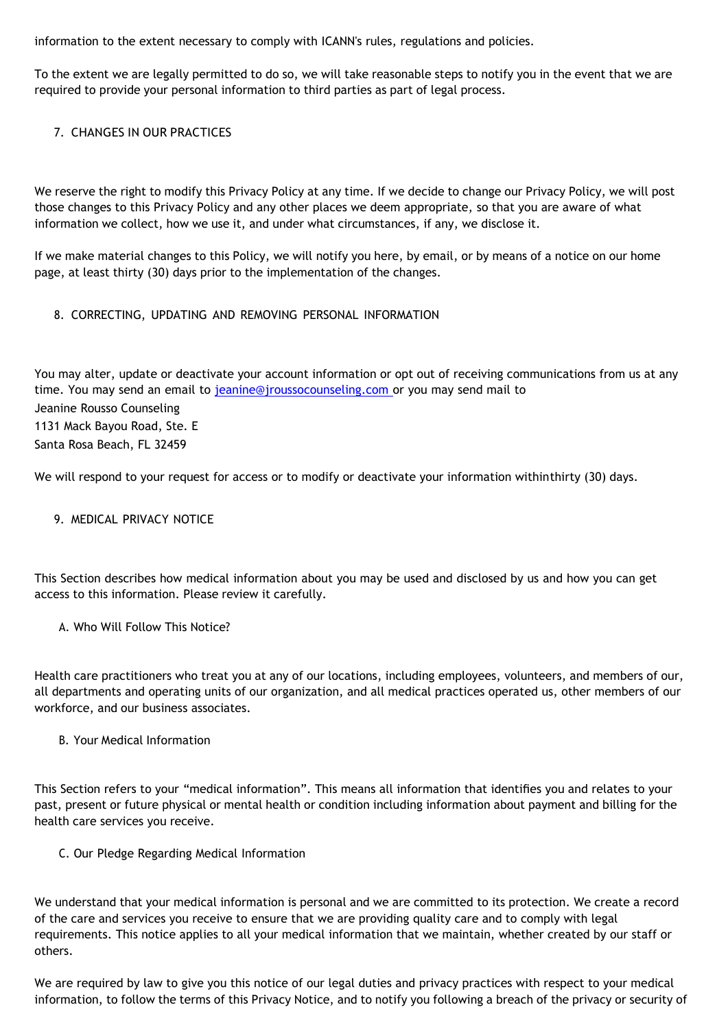information to the extent necessary to comply with ICANN's rules, regulations and policies.

To the extent we are legally permitted to do so, we will take reasonable steps to notify you in the event that we are required to provide your personal information to third parties as part of legal process.

# 7. CHANGES IN OUR PRACTICES

We reserve the right to modify this Privacy Policy at any time. If we decide to change our Privacy Policy, we will post those changes to this Privacy Policy and any other places we deem appropriate, so that you are aware of what information we collect, how we use it, and under what circumstances, if any, we disclose it.

If we make material changes to this Policy, we will notify you here, by email, or by means of a notice on our home page, at least thirty (30) days prior to the implementation of the changes.

# 8. CORRECTING, UPDATING AND REMOVING PERSONAL INFORMATION

You may alter, update or deactivate your account information or opt out of receiving communications from us at any time. You may send an email to [jeanine@jroussocounseling.com](mailto:jeanine@jroussocounseling.com) or you may send mail to Jeanine Rousso Counseling 1131 Mack Bayou Road, Ste. E Santa Rosa Beach, FL 32459

We will respond to your request for access or to modify or deactivate your information withinthirty (30) days.

## 9. MEDICAL PRIVACY NOTICE

This Section describes how medical information about you may be used and disclosed by us and how you can get access to this information. Please review it carefully.

## A. Who Will Follow This Notice?

Health care practitioners who treat you at any of our locations, including employees, volunteers, and members of our, all departments and operating units of our organization, and all medical practices operated us, other members of our workforce, and our business associates.

#### B. Your Medical Information

This Section refers to your "medical information". This means all information that identifies you and relates to your past, present or future physical or mental health or condition including information about payment and billing for the health care services you receive.

C. Our Pledge Regarding Medical Information

We understand that your medical information is personal and we are committed to its protection. We create a record of the care and services you receive to ensure that we are providing quality care and to comply with legal requirements. This notice applies to all your medical information that we maintain, whether created by our staff or others.

We are required by law to give you this notice of our legal duties and privacy practices with respect to your medical information, to follow the terms of this Privacy Notice, and to notify you following a breach of the privacy or security of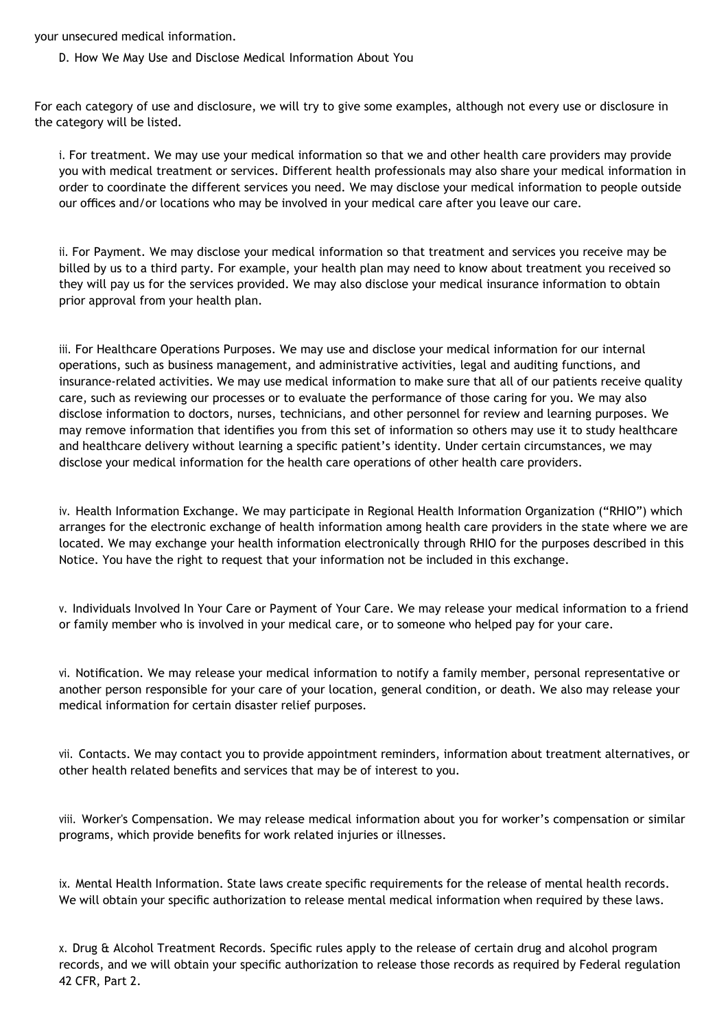your unsecured medical information.

D. How We May Use and Disclose Medical Information About You

For each category of use and disclosure, we will try to give some examples, although not every use or disclosure in the category will be listed.

i. For treatment. We may use your medical information so that we and other health care providers may provide you with medical treatment or services. Different health professionals may also share your medical information in order to coordinate the different services you need. We may disclose your medical information to people outside our offices and/or locations who may be involved in your medical care after you leave our care.

ii. For Payment. We may disclose your medical information so that treatment and services you receive may be billed by us to a third party. For example, your health plan may need to know about treatment you received so they will pay us for the services provided. We may also disclose your medical insurance information to obtain prior approval from your health plan.

iii. For Healthcare Operations Purposes. We may use and disclose your medical information for our internal operations, such as business management, and administrative activities, legal and auditing functions, and insurance-related activities. We may use medical information to make sure that all of our patients receive quality care, such as reviewing our processes or to evaluate the performance of those caring for you. We may also disclose information to doctors, nurses, technicians, and other personnel for review and learning purposes. We may remove information that identifies you from this set of information so others may use it to study healthcare and healthcare delivery without learning a specific patient's identity. Under certain circumstances, we may disclose your medical information for the health care operations of other health care providers.

iv. Health Information Exchange. We may participate in Regional Health Information Organization ("RHIO") which arranges for the electronic exchange of health information among health care providers in the state where we are located. We may exchange your health information electronically through RHIO for the purposes described in this Notice. You have the right to request that your information not be included in this exchange.

v. Individuals Involved In Your Care or Payment of Your Care. We may release your medical information to a friend or family member who is involved in your medical care, or to someone who helped pay for your care.

vi. Notification. We may release your medical information to notify a family member, personal representative or another person responsible for your care of your location, general condition, or death. We also may release your medical information for certain disaster relief purposes.

vii. Contacts. We may contact you to provide appointment reminders, information about treatment alternatives, or other health related benefits and services that may be of interest to you.

viii. Worker's Compensation. We may release medical information about you for worker's compensation or similar programs, which provide benefits for work related injuries or illnesses.

ix. Mental Health Information. State laws create specific requirements for the release of mental health records. We will obtain your specific authorization to release mental medical information when required by these laws.

x. Drug & Alcohol Treatment Records. Specific rules apply to the release of certain drug and alcohol program records, and we will obtain your specific authorization to release those records as required by Federal regulation 42 CFR, Part 2.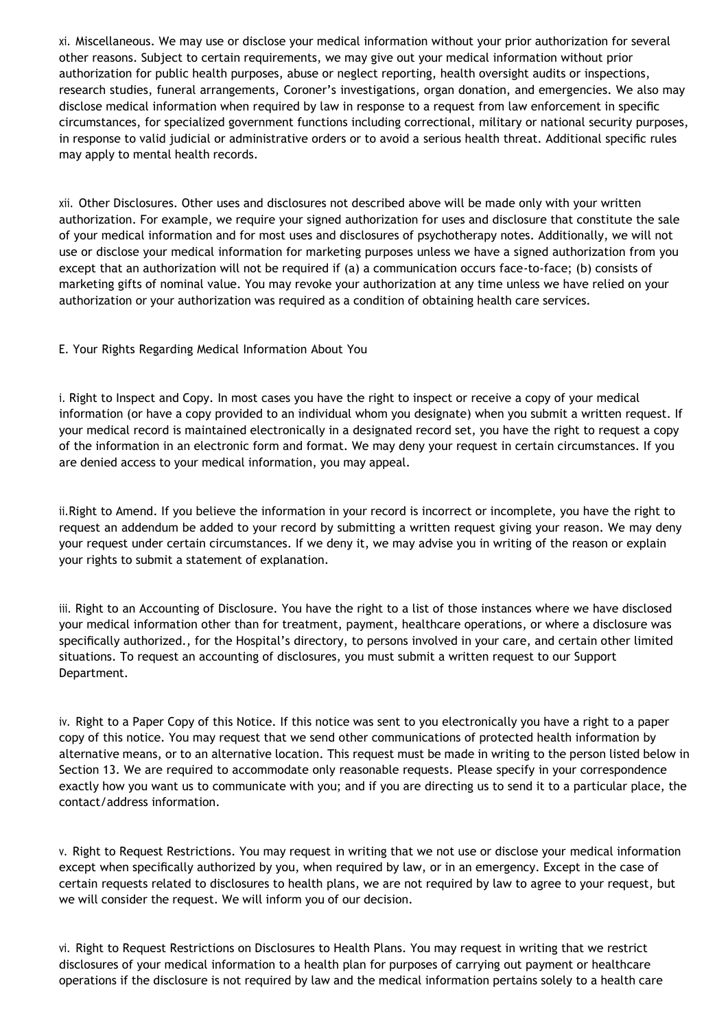xi. Miscellaneous. We may use or disclose your medical information without your prior authorization for several other reasons. Subject to certain requirements, we may give out your medical information without prior authorization for public health purposes, abuse or neglect reporting, health oversight audits or inspections, research studies, funeral arrangements, Coroner's investigations, organ donation, and emergencies. We also may disclose medical information when required by law in response to a request from law enforcement in specific circumstances, for specialized government functions including correctional, military or national security purposes, in response to valid judicial or administrative orders or to avoid a serious health threat. Additional specific rules may apply to mental health records.

xii. Other Disclosures. Other uses and disclosures not described above will be made only with your written authorization. For example, we require your signed authorization for uses and disclosure that constitute the sale of your medical information and for most uses and disclosures of psychotherapy notes. Additionally, we will not use or disclose your medical information for marketing purposes unless we have a signed authorization from you except that an authorization will not be required if (a) a communication occurs face-to-face; (b) consists of marketing gifts of nominal value. You may revoke your authorization at any time unless we have relied on your authorization or your authorization was required as a condition of obtaining health care services.

E. Your Rights Regarding Medical Information About You

i. Right to Inspect and Copy. In most cases you have the right to inspect or receive a copy of your medical information (or have a copy provided to an individual whom you designate) when you submit a written request. If your medical record is maintained electronically in a designated record set, you have the right to request a copy of the information in an electronic form and format. We may deny your request in certain circumstances. If you are denied access to your medical information, you may appeal.

ii.Right to Amend. If you believe the information in your record is incorrect or incomplete, you have the right to request an addendum be added to your record by submitting a written request giving your reason. We may deny your request under certain circumstances. If we deny it, we may advise you in writing of the reason or explain your rights to submit a statement of explanation.

iii. Right to an Accounting of Disclosure. You have the right to a list of those instances where we have disclosed your medical information other than for treatment, payment, healthcare operations, or where a disclosure was specifically authorized., for the Hospital's directory, to persons involved in your care, and certain other limited situations. To request an accounting of disclosures, you must submit a written request to our Support Department.

iv. Right to a Paper Copy of this Notice. If this notice was sent to you electronically you have a right to a paper copy of this notice. You may request that we send other communications of protected health information by alternative means, or to an alternative location. This request must be made in writing to the person listed below in Section 13. We are required to accommodate only reasonable requests. Please specify in your correspondence exactly how you want us to communicate with you; and if you are directing us to send it to a particular place, the contact/address information.

v. Right to Request Restrictions. You may request in writing that we not use or disclose your medical information except when specifically authorized by you, when required by law, or in an emergency. Except in the case of certain requests related to disclosures to health plans, we are not required by law to agree to your request, but we will consider the request. We will inform you of our decision.

vi. Right to Request Restrictions on Disclosures to Health Plans. You may request in writing that we restrict disclosures of your medical information to a health plan for purposes of carrying out payment or healthcare operations if the disclosure is not required by law and the medical information pertains solely to a health care